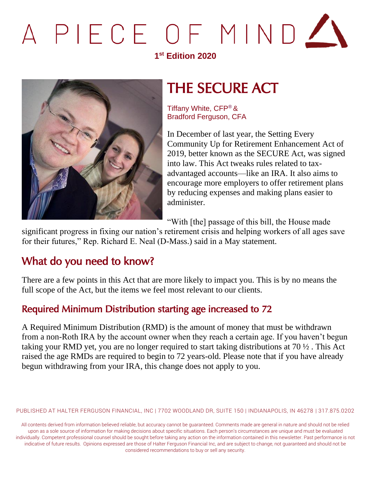# PIECE OF MIND

#### **1 st Edition 2020**



## THE SECURE ACT

Tiffany White, CFP® & Bradford Ferguson, CFA

In December of last year, the Setting Every Community Up for Retirement Enhancement Act of 2019, better known as the SECURE Act, was signed into law. This Act tweaks rules related to taxadvantaged accounts—like an IRA. It also aims to encourage more employers to offer retirement plans by reducing expenses and making plans easier to administer.

"With [the] passage of this bill, the House made

significant progress in fixing our nation's retirement crisis and helping workers of all ages save for their futures," Rep. Richard E. Neal (D-Mass.) said in a May statement.

### What do you need to know?

There are a few points in this Act that are more likely to impact you. This is by no means the full scope of the Act, but the items we feel most relevant to our clients.

#### Required Minimum Distribution starting age increased to 72

A Required Minimum Distribution (RMD) is the amount of money that must be withdrawn from a non-Roth IRA by the account owner when they reach a certain age. If you haven't begun taking your RMD yet, you are no longer required to start taking distributions at 70 ½ . This Act raised the age RMDs are required to begin to 72 years-old. Please note that if you have already begun withdrawing from your IRA, this change does not apply to you.

PUBLISHED AT HALTER FERGUSON FINANCIAL, INC | 7702 WOODLAND DR, SUITE 150 | INDIANAPOLIS, IN 46278 | 317.875.0202

All contents derived from information believed reliable, but accuracy cannot be guaranteed. Comments made are general in nature and should not be relied upon as a sole source of information for making decisions about specific situations. Each person's circumstances are unique and must be evaluated individually. Competent professional counsel should be sought before taking any action on the information contained in this newsletter. Past performance is not indicative of future results. Opinions expressed are those of Halter Ferguson Financial Inc, and are subject to change, not guaranteed and should not be considered recommendations to buy or sell any security.